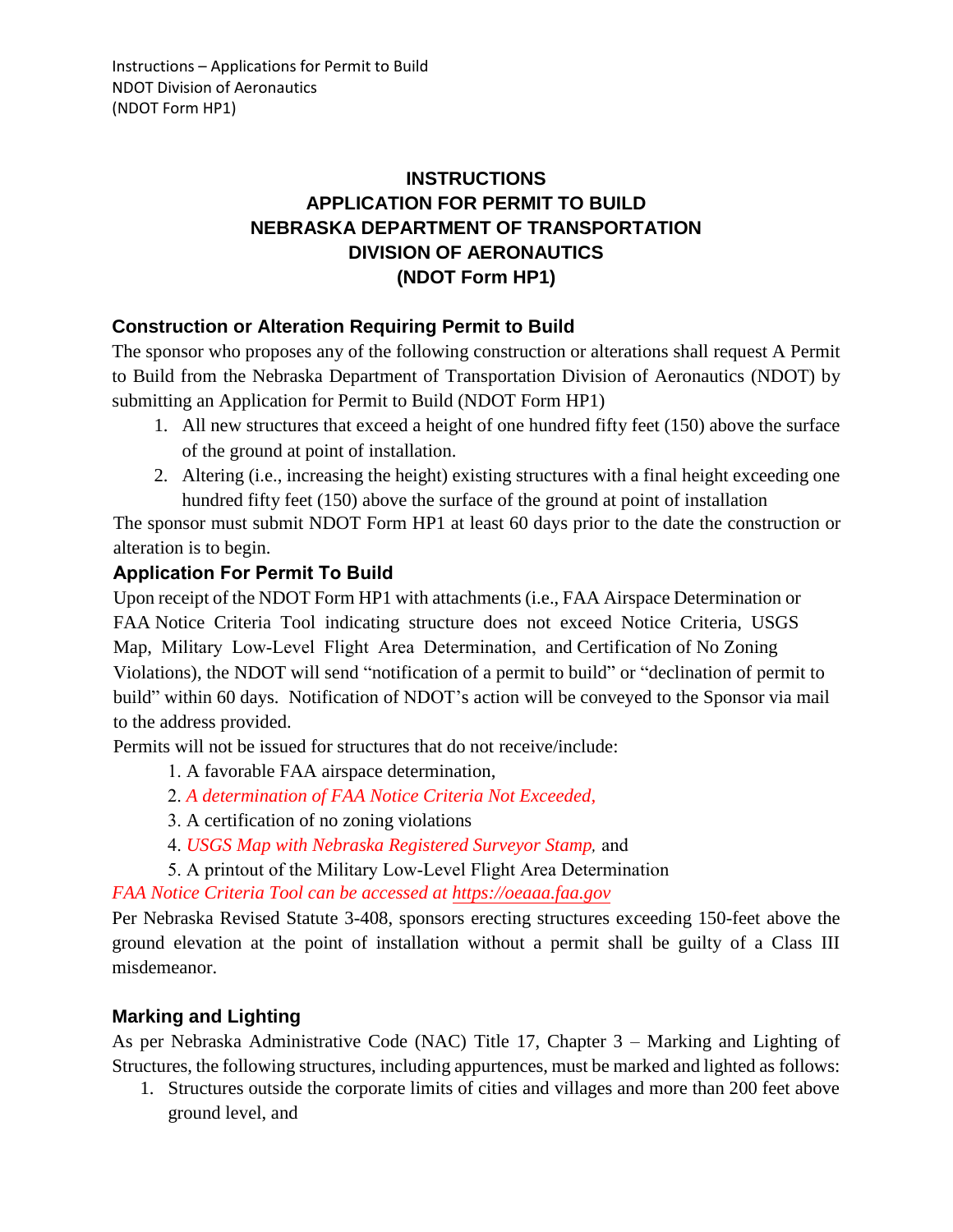## **INSTRUCTIONS APPLICATION FOR PERMIT TO BUILD NEBRASKA DEPARTMENT OF TRANSPORTATION DIVISION OF AERONAUTICS (NDOT Form HP1)**

## **Construction or Alteration Requiring Permit to Build**

The sponsor who proposes any of the following construction or alterations shall request A Permit to Build from the Nebraska Department of Transportation Division of Aeronautics (NDOT) by submitting an Application for Permit to Build (NDOT Form HP1)

- 1. All new structures that exceed a height of one hundred fifty feet (150) above the surface of the ground at point of installation.
- 2. Altering (i.e., increasing the height) existing structures with a final height exceeding one hundred fifty feet (150) above the surface of the ground at point of installation

The sponsor must submit NDOT Form HP1 at least 60 days prior to the date the construction or alteration is to begin.

#### **Application For Permit To Build**

Upon receipt of the NDOT Form HP1 with attachments (i.e., FAA Airspace Determination or FAA Notice Criteria Tool indicating structure does not exceed Notice Criteria, USGS Map, Military Low-Level Flight Area Determination, and Certification of No Zoning Violations), the NDOT will send "notification of a permit to build" or "declination of permit to build" within 60 days. Notification of NDOT's action will be conveyed to the Sponsor via mail to the address provided.

Permits will not be issued for structures that do not receive/include:

1. A favorable FAA airspace determination,

- 2. *A determination of FAA Notice Criteria Not Exceeded,*
- 3. A certification of no zoning violations
- 4. *USGS Map with Nebraska Registered Surveyor Stamp,* and

5. A printout of the Military Low-Le[vel Flight Area Determ](https://oeaaa.faa.gov/)ination

*FAA Notice Criteria Tool can be accessed at https://oeaaa.faa.gov*

Per Nebraska Revised Statute 3-408, sponsors erecting structures exceeding 150-feet above the ground elevation at the point of installation without a permit shall be guilty of a Class III misdemeanor.

## **Marking and Lighting**

As per Nebraska Administrative Code (NAC) Title 17, Chapter 3 – Marking and Lighting of Structures, the following structures, including appurtences, must be marked and lighted as follows:

1. Structures outside the corporate limits of cities and villages and more than 200 feet above ground level, and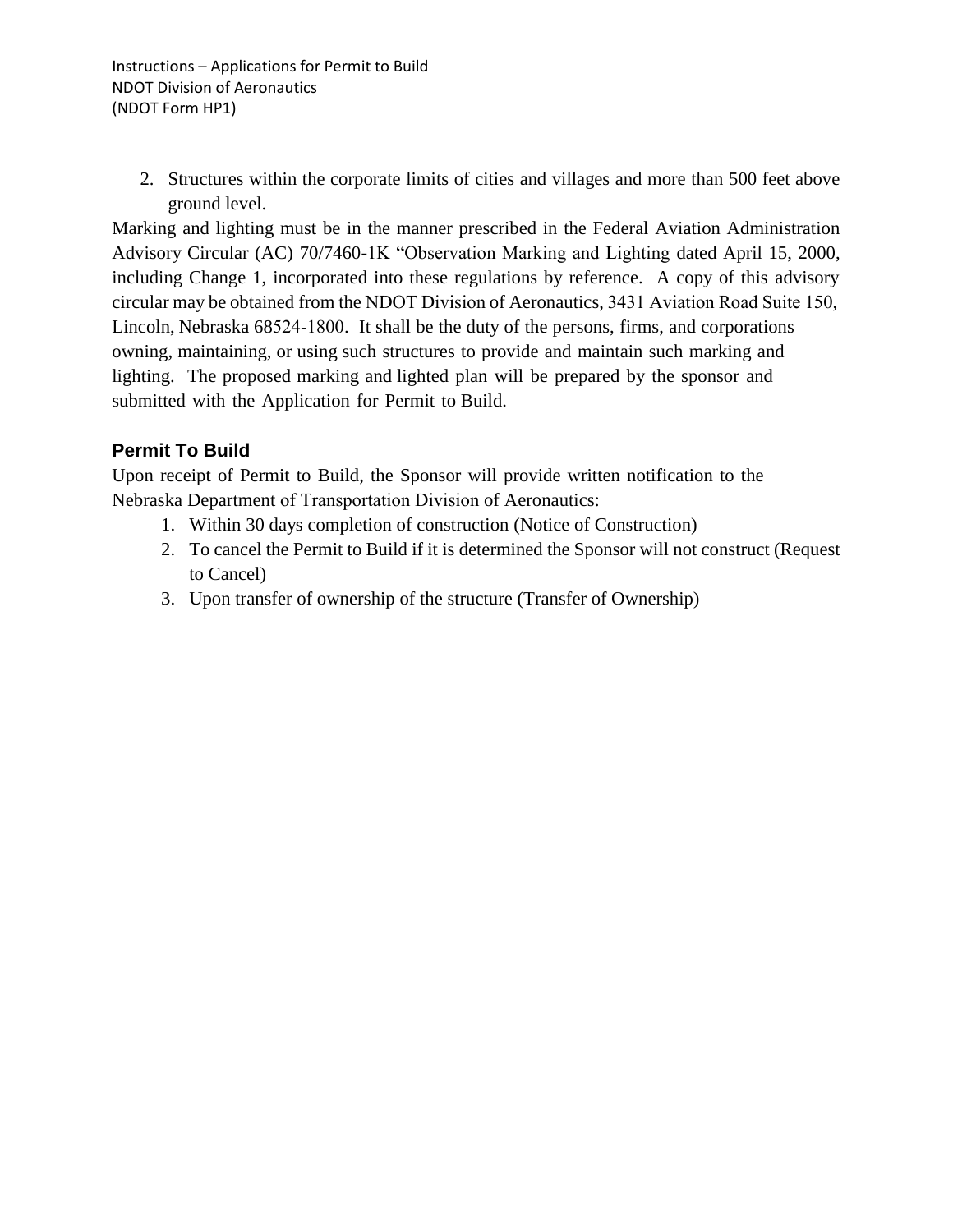2. Structures within the corporate limits of cities and villages and more than 500 feet above ground level.

Marking and lighting must be in the manner prescribed in the Federal Aviation Administration Advisory Circular (AC) 70/7460-1K "Observation Marking and Lighting dated April 15, 2000, including Change 1, incorporated into these regulations by reference. A copy of this advisory circular may be obtained from the NDOT Division of Aeronautics, 3431 Aviation Road Suite 150, Lincoln, Nebraska 68524-1800. It shall be the duty of the persons, firms, and corporations owning, maintaining, or using such structures to provide and maintain such marking and lighting. The proposed marking and lighted plan will be prepared by the sponsor and submitted with the Application for Permit to Build.

#### **Permit To Build**

Upon receipt of Permit to Build, the Sponsor will provide written notification to the Nebraska Department of Transportation Division of Aeronautics:

- 1. Within 30 days completion of construction (Notice of Construction)
- 2. To cancel the Permit to Build if it is determined the Sponsor will not construct (Request to Cancel)
- 3. Upon transfer of ownership of the structure (Transfer of Ownership)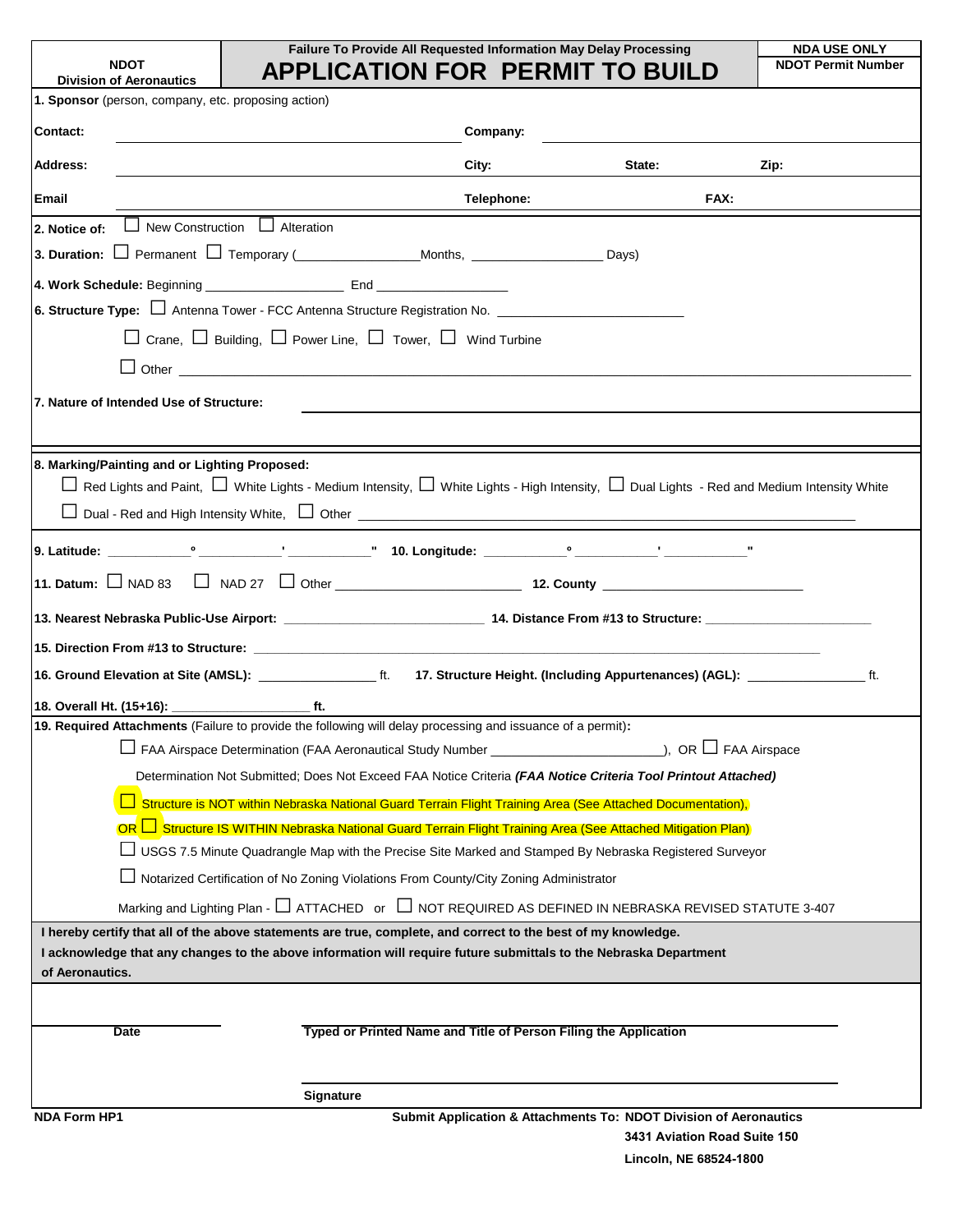|                                                                                                                   |                  |                                                                                                                                                                                                  | Failure To Provide All Requested Information May Delay Processing | <b>NDA USE ONLY</b><br><b>NDOT Permit Number</b>                                  |
|-------------------------------------------------------------------------------------------------------------------|------------------|--------------------------------------------------------------------------------------------------------------------------------------------------------------------------------------------------|-------------------------------------------------------------------|-----------------------------------------------------------------------------------|
| <b>Division of Aeronautics</b>                                                                                    |                  | <b>APPLICATION FOR PERMIT TO BUILD</b>                                                                                                                                                           |                                                                   |                                                                                   |
| 1. Sponsor (person, company, etc. proposing action)                                                               |                  |                                                                                                                                                                                                  |                                                                   |                                                                                   |
| Contact:                                                                                                          |                  | Company:                                                                                                                                                                                         |                                                                   |                                                                                   |
| <b>Address:</b>                                                                                                   |                  | City:                                                                                                                                                                                            | State:                                                            | Zip:                                                                              |
| Email                                                                                                             |                  | Telephone:                                                                                                                                                                                       |                                                                   | FAX:                                                                              |
| $\Box$ New Construction $\Box$ Alteration<br>2. Notice of:                                                        |                  |                                                                                                                                                                                                  |                                                                   |                                                                                   |
|                                                                                                                   |                  |                                                                                                                                                                                                  |                                                                   |                                                                                   |
|                                                                                                                   |                  |                                                                                                                                                                                                  |                                                                   |                                                                                   |
| 6. Structure Type: □ Antenna Tower - FCC Antenna Structure Registration No. _______________________               |                  |                                                                                                                                                                                                  |                                                                   |                                                                                   |
|                                                                                                                   |                  | $\Box$ Crane, $\Box$ Building, $\Box$ Power Line, $\Box$ Tower, $\Box$ Wind Turbine                                                                                                              |                                                                   |                                                                                   |
|                                                                                                                   |                  | $\Box$ Other $\Box$                                                                                                                                                                              |                                                                   |                                                                                   |
| 7. Nature of Intended Use of Structure:                                                                           |                  |                                                                                                                                                                                                  |                                                                   |                                                                                   |
|                                                                                                                   |                  |                                                                                                                                                                                                  |                                                                   |                                                                                   |
|                                                                                                                   |                  |                                                                                                                                                                                                  |                                                                   |                                                                                   |
| 8. Marking/Painting and or Lighting Proposed:                                                                     |                  | $\Box$ Red Lights and Paint, $\Box$ White Lights - Medium Intensity, $\Box$ White Lights - High Intensity, $\Box$ Dual Lights - Red and Medium Intensity White                                   |                                                                   |                                                                                   |
|                                                                                                                   |                  |                                                                                                                                                                                                  |                                                                   |                                                                                   |
|                                                                                                                   |                  |                                                                                                                                                                                                  |                                                                   |                                                                                   |
|                                                                                                                   |                  |                                                                                                                                                                                                  |                                                                   |                                                                                   |
| 11. Datum: $\Box$ NAD 83                                                                                          |                  |                                                                                                                                                                                                  |                                                                   |                                                                                   |
|                                                                                                                   |                  |                                                                                                                                                                                                  |                                                                   |                                                                                   |
|                                                                                                                   |                  |                                                                                                                                                                                                  |                                                                   |                                                                                   |
| 16. Ground Elevation at Site (AMSL): _______________________ ft.                                                  |                  |                                                                                                                                                                                                  |                                                                   | 17. Structure Height. (Including Appurtenances) (AGL): ______________________ ft. |
|                                                                                                                   |                  |                                                                                                                                                                                                  |                                                                   |                                                                                   |
| 19. Required Attachments (Failure to provide the following will delay processing and issuance of a permit):       |                  |                                                                                                                                                                                                  |                                                                   |                                                                                   |
|                                                                                                                   |                  | FAA Airspace Determination (FAA Aeronautical Study Number ______________________                                                                                                                 |                                                                   | ), OR $\Box$ FAA Airspace                                                         |
|                                                                                                                   |                  | Determination Not Submitted; Does Not Exceed FAA Notice Criteria (FAA Notice Criteria Tool Printout Attached)                                                                                    |                                                                   |                                                                                   |
|                                                                                                                   |                  | Structure is NOT within Nebraska National Guard Terrain Flight Training Area (See Attached Documentation),                                                                                       |                                                                   |                                                                                   |
|                                                                                                                   |                  | OR □ Structure IS WITHIN Nebraska National Guard Terrain Flight Training Area (See Attached Mitigation Plan)                                                                                     |                                                                   |                                                                                   |
|                                                                                                                   |                  | USGS 7.5 Minute Quadrangle Map with the Precise Site Marked and Stamped By Nebraska Registered Surveyor<br>Notarized Certification of No Zoning Violations From County/City Zoning Administrator |                                                                   |                                                                                   |
|                                                                                                                   |                  | Marking and Lighting Plan - $\Box$ ATTACHED or $\Box$ NOT REQUIRED AS DEFINED IN NEBRASKA REVISED STATUTE 3-407                                                                                  |                                                                   |                                                                                   |
| I hereby certify that all of the above statements are true, complete, and correct to the best of my knowledge.    |                  |                                                                                                                                                                                                  |                                                                   |                                                                                   |
| I acknowledge that any changes to the above information will require future submittals to the Nebraska Department |                  |                                                                                                                                                                                                  |                                                                   |                                                                                   |
| of Aeronautics.                                                                                                   |                  |                                                                                                                                                                                                  |                                                                   |                                                                                   |
|                                                                                                                   |                  |                                                                                                                                                                                                  |                                                                   |                                                                                   |
| Date                                                                                                              |                  | Typed or Printed Name and Title of Person Filing the Application                                                                                                                                 |                                                                   |                                                                                   |
|                                                                                                                   |                  |                                                                                                                                                                                                  |                                                                   |                                                                                   |
|                                                                                                                   | <b>Signature</b> |                                                                                                                                                                                                  |                                                                   |                                                                                   |
| <b>NDA Form HP1</b>                                                                                               |                  | Submit Application & Attachments To: NDOT Division of Aeronautics                                                                                                                                |                                                                   |                                                                                   |

**Lincoln, NE 68524-1800**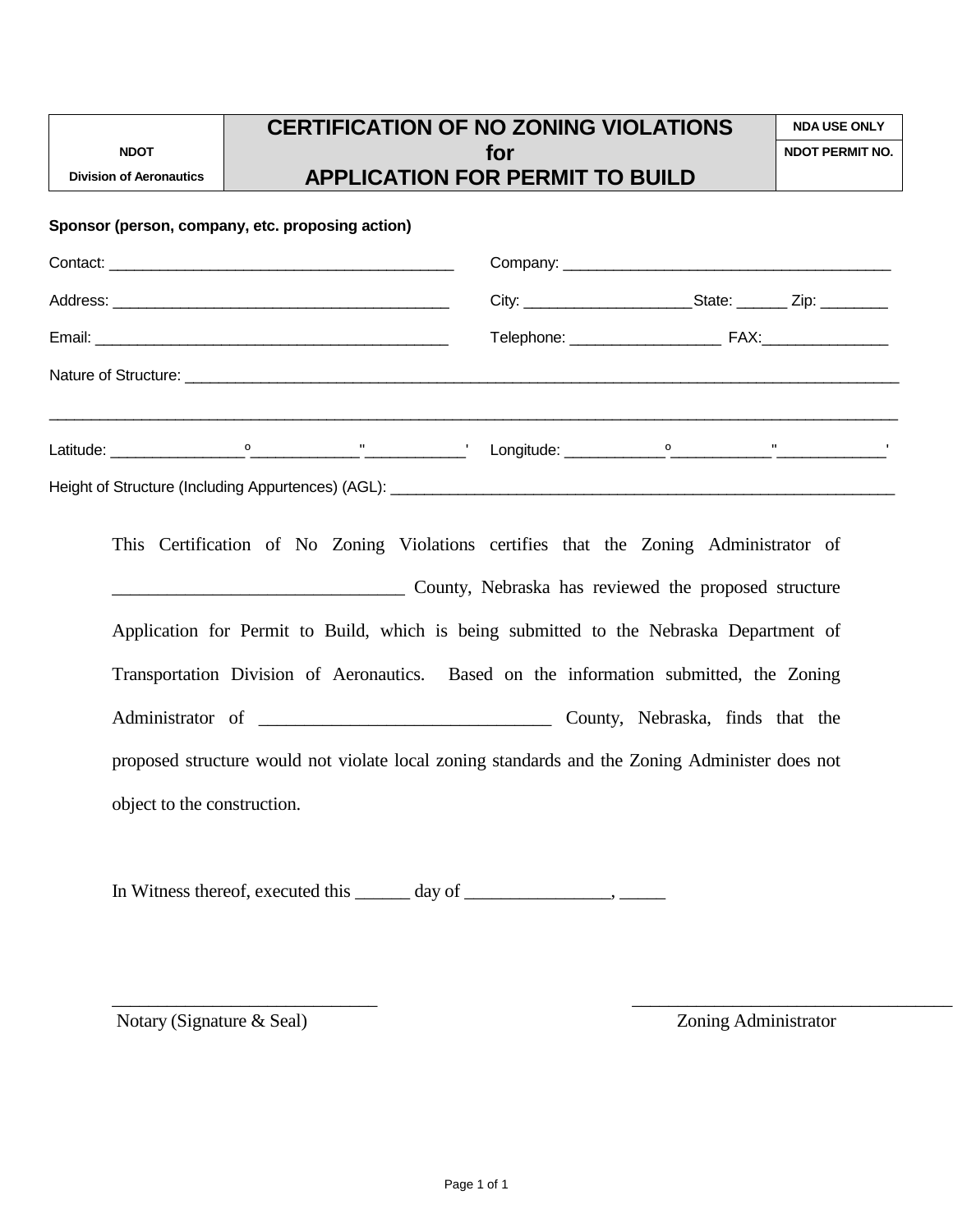|                                                                                                                |                                                                                                | <b>CERTIFICATION OF NO ZONING VIOLATIONS</b> |     |                        | <b>NDA USE ONLY</b> |
|----------------------------------------------------------------------------------------------------------------|------------------------------------------------------------------------------------------------|----------------------------------------------|-----|------------------------|---------------------|
| <b>NDOT</b>                                                                                                    |                                                                                                |                                              | for | <b>NDOT PERMIT NO.</b> |                     |
| <b>Division of Aeronautics</b>                                                                                 |                                                                                                | <b>APPLICATION FOR PERMIT TO BUILD</b>       |     |                        |                     |
| Sponsor (person, company, etc. proposing action)                                                               |                                                                                                |                                              |     |                        |                     |
|                                                                                                                |                                                                                                |                                              |     |                        |                     |
|                                                                                                                |                                                                                                |                                              |     |                        |                     |
|                                                                                                                |                                                                                                |                                              |     |                        | Telephone: FAX:     |
|                                                                                                                |                                                                                                |                                              |     |                        |                     |
|                                                                                                                |                                                                                                |                                              |     |                        |                     |
| Latitude: 2008. [2018] [2019] [2019] [2019] [2019] [2019] [2019] [2019] [2019] [2019] [2019] [2019] [2019] [20 |                                                                                                |                                              |     |                        |                     |
|                                                                                                                |                                                                                                |                                              |     |                        |                     |
|                                                                                                                |                                                                                                |                                              |     |                        |                     |
|                                                                                                                | This Certification of No Zoning Violations certifies that the Zoning Administrator of          |                                              |     |                        |                     |
|                                                                                                                | County, Nebraska has reviewed the proposed structure                                           |                                              |     |                        |                     |
|                                                                                                                | Application for Permit to Build, which is being submitted to the Nebraska Department of        |                                              |     |                        |                     |
|                                                                                                                | Transportation Division of Aeronautics. Based on the information submitted, the Zoning         |                                              |     |                        |                     |
|                                                                                                                |                                                                                                |                                              |     |                        |                     |
|                                                                                                                | proposed structure would not violate local zoning standards and the Zoning Administer does not |                                              |     |                        |                     |
|                                                                                                                | object to the construction.                                                                    |                                              |     |                        |                     |
|                                                                                                                |                                                                                                |                                              |     |                        |                     |
|                                                                                                                |                                                                                                |                                              |     |                        |                     |

In Witness thereof, executed this \_\_\_\_\_\_ day of \_\_\_\_\_\_\_\_\_\_\_\_\_\_\_\_, \_\_\_\_\_\_\_\_

Notary (Signature & Seal) **Zoning Administrator** 

\_\_\_\_\_\_\_\_\_\_\_\_\_\_\_\_\_\_\_\_\_\_\_\_\_\_\_\_\_ \_\_\_\_\_\_\_\_\_\_\_\_\_\_\_\_\_\_\_\_\_\_\_\_\_\_\_\_\_\_\_\_\_\_\_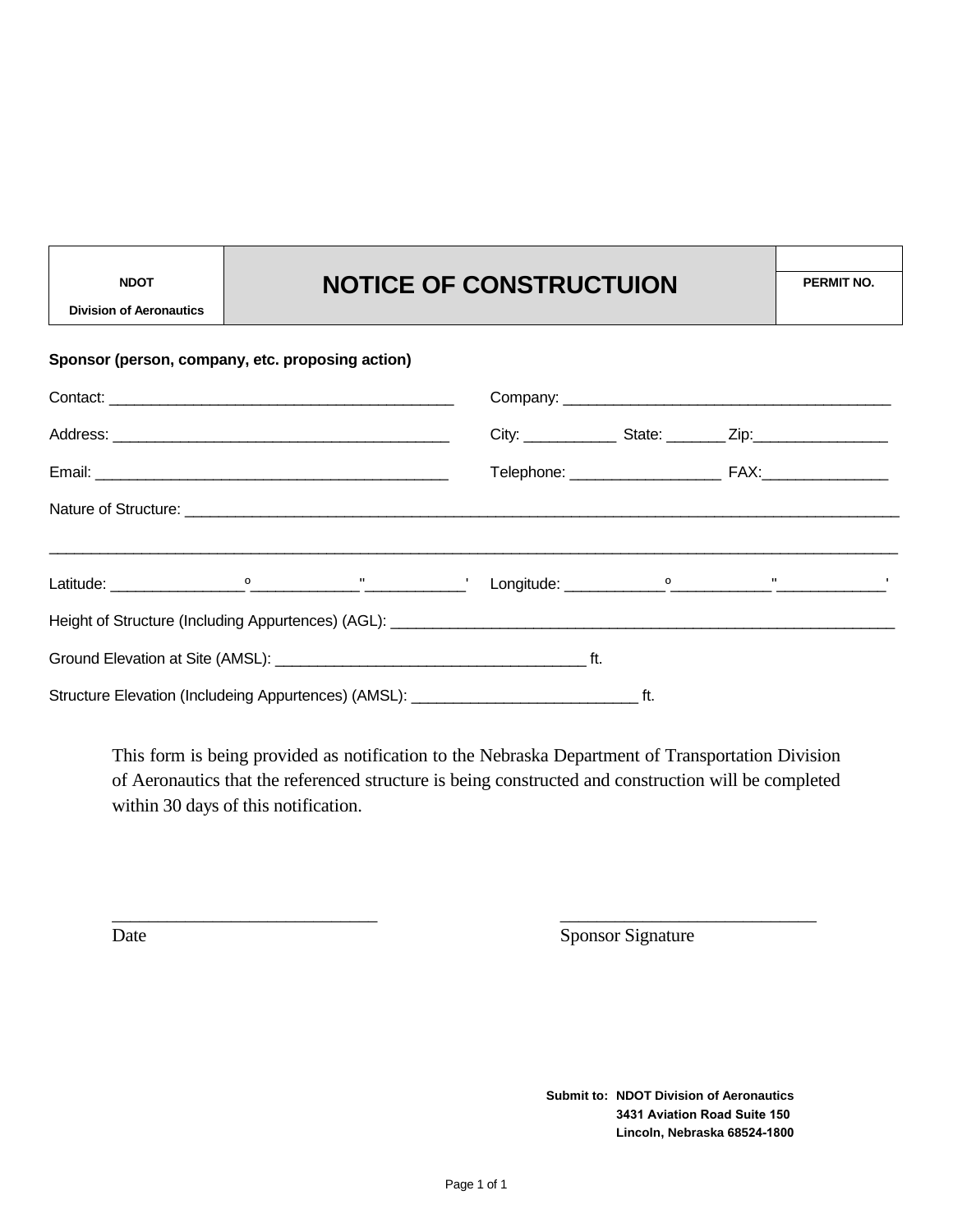# NDOT **NOTICE OF CONSTRUCTUION** PERMIT NO.

**Division of Aeronautics**

| Sponsor (person, company, etc. proposing action) |  |  |  |  |  |  |  |  |  |
|--------------------------------------------------|--|--|--|--|--|--|--|--|--|
|                                                  |  |  |  |  |  |  |  |  |  |
|                                                  |  |  |  |  |  |  |  |  |  |
|                                                  |  |  |  |  |  |  |  |  |  |
|                                                  |  |  |  |  |  |  |  |  |  |
|                                                  |  |  |  |  |  |  |  |  |  |
|                                                  |  |  |  |  |  |  |  |  |  |
|                                                  |  |  |  |  |  |  |  |  |  |
|                                                  |  |  |  |  |  |  |  |  |  |

This form is being provided as notification to the Nebraska Department of Transportation Division of Aeronautics that the referenced structure is being constructed and construction will be completed within 30 days of this notification.

\_\_\_\_\_\_\_\_\_\_\_\_\_\_\_\_\_\_\_\_\_\_\_\_\_\_\_\_\_ \_\_\_\_\_\_\_\_\_\_\_\_\_\_\_\_\_\_\_\_\_\_\_\_\_\_\_\_

Date Sponsor Signature

**Submit to: NDOT Division of Aeronautics 3431 Aviation Road Suite 150 Lincoln, Nebraska 68524-1800**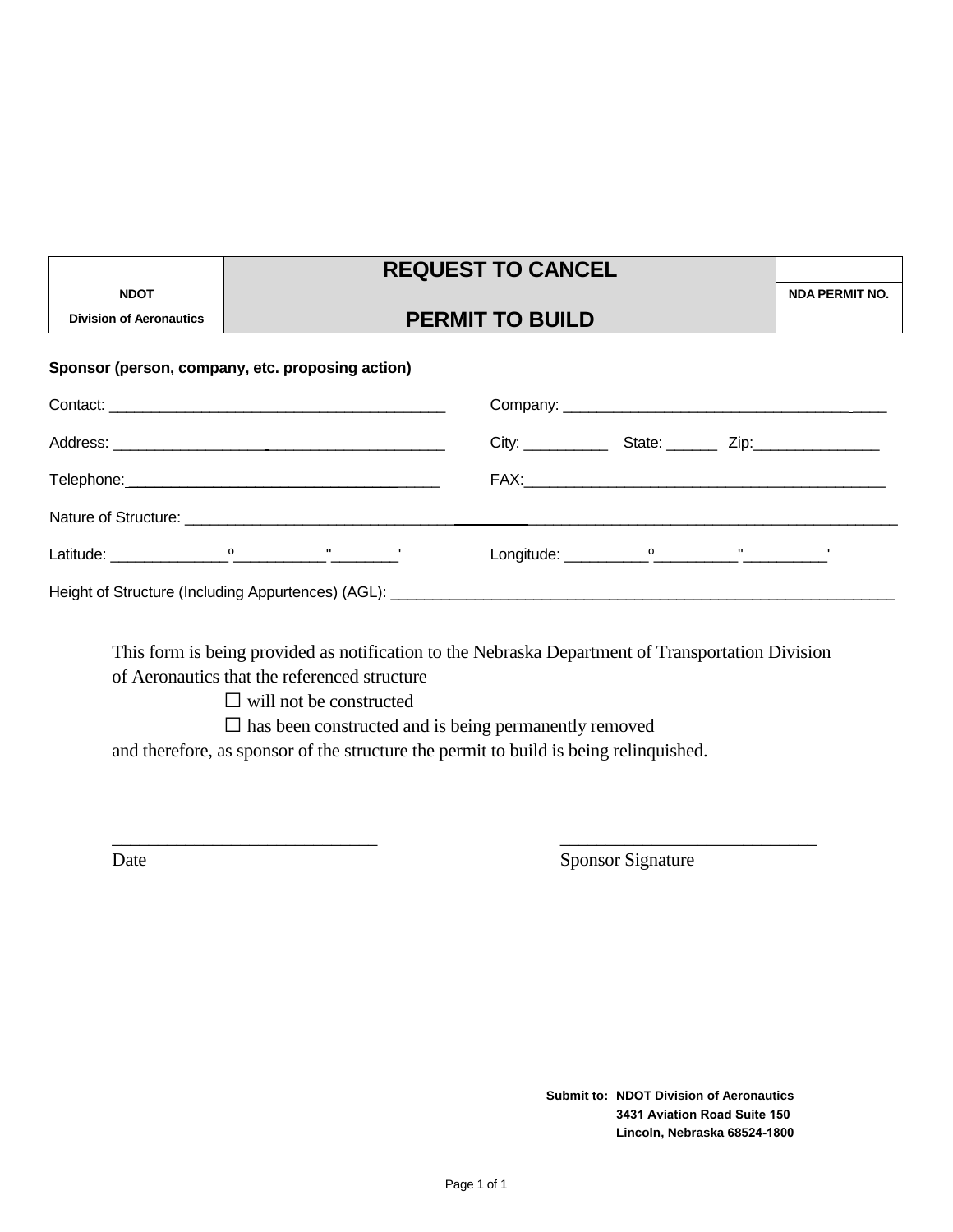|                                               | <b>REQUEST TO CANCEL</b>                         |                       |  |
|-----------------------------------------------|--------------------------------------------------|-----------------------|--|
| <b>NDOT</b><br><b>Division of Aeronautics</b> | <b>PERMIT TO BUILD</b>                           | <b>NDA PERMIT NO.</b> |  |
|                                               | Sponsor (person, company, etc. proposing action) |                       |  |
|                                               |                                                  |                       |  |
|                                               |                                                  |                       |  |
| the second contract of the second con-        | $- \wedge \vee$                                  |                       |  |

**REQUEST TO CANCEL**

| Telephone: ___________________________________                                    |  |              |  | FAX:                                 |  |  |  |  |
|-----------------------------------------------------------------------------------|--|--------------|--|--------------------------------------|--|--|--|--|
| Nature of Structure: Nature of Structure:                                         |  |              |  |                                      |  |  |  |  |
| Latitude:                                                                         |  | $\mathbf{H}$ |  | $Longitude: \_\_\_\_o$ $\_\_\_\_\_o$ |  |  |  |  |
| Height of Structure (Including Appurtences) (AGL): ______________________________ |  |              |  |                                      |  |  |  |  |

This form is being provided as notification to the Nebraska Department of Transportation Division of Aeronautics that the referenced structure

 $\Box$  will not be constructed

 $\square$  has been constructed and is being permanently removed

and therefore, as sponsor of the structure the permit to build is being relinquished.

\_\_\_\_\_\_\_\_\_\_\_\_\_\_\_\_\_\_\_\_\_\_\_\_\_\_\_\_\_ \_\_\_\_\_\_\_\_\_\_\_\_\_\_\_\_\_\_\_\_\_\_\_\_\_\_\_\_ Date Sponsor Signature

> **Submit to: NDOT Division of Aeronautics 3431 Aviation Road Suite 150 Lincoln, Nebraska 68524-1800**